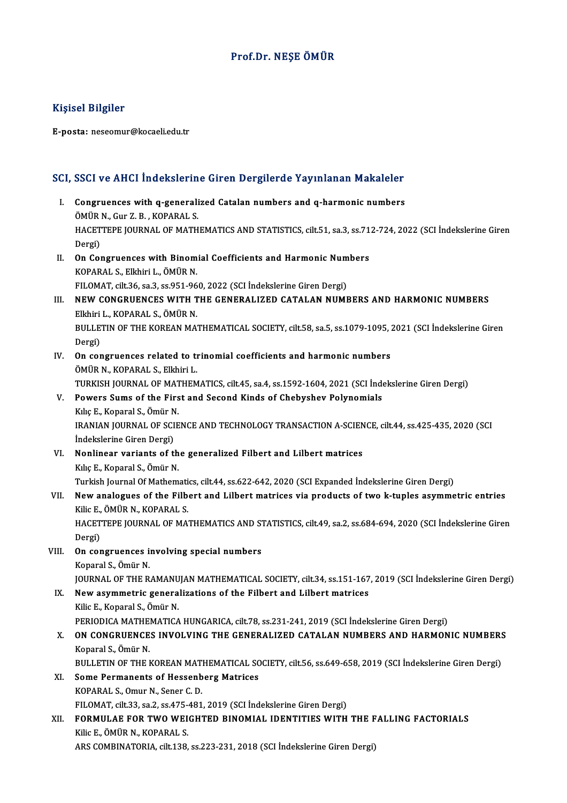## Prof.Dr.NEŞE ÖMÜR

### Kişisel Bilgiler

E-posta: neseomur@kocaeli.edu.tr

## SCI, SSCI ve AHCI İndekslerine Giren Dergilerde Yayınlanan Makaleler

- CI, SSCI ve AHCI Indekslerine Giren Dergilerde Yayınlanan Makaleler<br>I. Congruences with q-generalized Catalan numbers and q-harmonic numbers<br>ÖMÜP N. Cur Z. B. KORARALS **COMPANDER IN A CALCULATION**<br>Congruences with q-generali<br>ÖMÜR N., Gur Z. B. , KOPARAL S.<br>HACETTERE IOURNAL OF MATH Congruences with q-generalized Catalan numbers and q-harmonic numbers<br>ÖMÜR N., Gur Z. B. , KOPARAL S.<br>HACETTEPE JOURNAL OF MATHEMATICS AND STATISTICS, cilt.51, sa.3, ss.712-724, 2022 (SCI İndekslerine Giren<br>Dergi) ÖMÜR<br>HACET<br>Dergi)<br>Or Cer HACETTEPE JOURNAL OF MATHEMATICS AND STATISTICS, cilt.51, sa.3, ss.71<br>Dergi)<br>II. On Congruences with Binomial Coefficients and Harmonic Numbers<br>KORARAL S. Elkhirl J. ÖMÜP N
- Dergi)<br>**On Congruences with Binom<br>KOPARAL S., Elkhiri L., ÖMÜR N.**<br>EU OMAT gilt 26, sa 2, sa 951, 96 On Congruences with Binomial Coefficients and Harmonic Num<br>KOPARAL S., Elkhiri L., ÖMÜR N.<br>FILOMAT, cilt.36, sa.3, ss.951-960, 2022 (SCI İndekslerine Giren Dergi)<br>NEW CONCRUENCES WITH THE CENERALIZED CATALAN NUMI
- KOPARAL S., Elkhiri L., ÖMÜR N.<br>FILOMAT, cilt.36, sa.3, ss.951-960, 2022 (SCI İndekslerine Giren Dergi)<br>III. NEW CONGRUENCES WITH THE GENERALIZED CATALAN NUMBERS AND HARMONIC NUMBERS<br>Elkhiri L., KOPARAL S., ÖMÜR N. FILOMAT, cilt.36, sa.3, ss.951-96<br>NEW CONGRUENCES WITH T<br>Elkhiri L., KOPARAL S., ÖMÜR N.<br>PULL ETIN OF THE KOPEAN MA. NEW CONGRUENCES WITH THE GENERALIZED CATALAN NUMBERS AND HARMONIC NUMBERS<br>Elkhiri L., KOPARAL S., ÖMÜR N.<br>BULLETIN OF THE KOREAN MATHEMATICAL SOCIETY, cilt.58, sa.5, ss.1079-1095, 2021 (SCI İndekslerine Giren<br>Persi) Elkhiri<br>BULLE<br>Dergi)<br>On sar BULLETIN OF THE KOREAN MATHEMATICAL SOCIETY, cilt.58, sa.5, ss.1079-1095, :<br>Dergi)<br>IV. On congruences related to trinomial coefficients and harmonic numbers<br>ÖMÜP N. KORARAL S. Elkhiri I.
- Dergi)<br>IV. On congruences related to trinomial coefficients and harmonic numbers<br>ÖMÜR N., KOPARAL S., Elkhiri L. On congruences related to trinomial coefficients and harmonic numbers<br>ÖMÜR N., KOPARAL S., Elkhiri L.<br>TURKISH JOURNAL OF MATHEMATICS, cilt.45, sa.4, ss.1592-1604, 2021 (SCI İndekslerine Giren Dergi)<br>Powers Sums of the Eins
- V. Powers Sums of the First and Second Kinds of Chebyshev Polynomials TURKISH JOURNAL OF MAT<br>Powers Sums of the Firs<br>Kılıç E., Koparal S., Ömür N.<br>IPANIAN JOURNAL OF SCIE IRANIAN JOURNAL OF SCIENCE AND TECHNOLOGY TRANSACTION A-SCIENCE, cilt.44, ss.425-435, 2020 (SCI Indekslerine Giren Dergi) Kılıç E., Koparal S., Ömür N.
- IRANIAN JOURNAL OF SCIENCE AND TECHNOLOGY TRANSACTION A-SCIEN<br>
indekslerine Giren Dergi)<br>
VI. Nonlinear variants of the generalized Filbert and Lilbert matrices<br>
Vile E. Konaral S. Ömür N İndekslerine Giren Dergi)<br>**Nonlinear variants of th<br>Kılıç E., Koparal S., Ömür N.**<br>Turkich Journal Of Mathem Kılıç E., Koparal S., Ömür N.<br>Turkish Journal Of Mathematics, cilt.44, ss.622-642, 2020 (SCI Expanded İndekslerine Giren Dergi)

# Kılıç E., Koparal S., Ömür N.<br>Turkish Journal Of Mathematics, cilt.44, ss.622-642, 2020 (SCI Expanded İndekslerine Giren Dergi)<br>VII. New analogues of the Filbert and Lilbert matrices via products of two k-tuples asymme Turkish Journal Of Mathemati<br>New analogues of the Filb<br>Kilic E., ÖMÜR N., KOPARAL S.<br>HACETTERE JOURNAL OF MA. New analogues of the Filbert and Lilbert matrices via products of two k-tuples asymmetric entries<br>Kilic E., ÖMÜR N., KOPARAL S.<br>HACETTEPE JOURNAL OF MATHEMATICS AND STATISTICS, cilt.49, sa.2, ss.684-694, 2020 (SCI İndeksle

Kilic E., ÖMÜR N., KOPARAL S.<br>HACETTEPE JOURNAL OF MATHEMATICS AND STATISTICS, cilt.49, sa.2, ss.684-694, 2020 (SCI İndekslerine Giren<br>Dergi) HACETTEPE JOURNAL OF MATHEMATICS AND ST<br>Dergi)<br>VIII. On congruences involving special numbers<br>Kongrel S. Ömün N

- Dergi)<br>**On congruences i**:<br>Koparal S., Ömür N.<br>JOUPNAL OF THE P. On congruences involving special numbers<br>Koparal S., Ömür N.<br>JOURNAL OF THE RAMANUJAN MATHEMATICAL SOCIETY, cilt.34, ss.151-167, 2019 (SCI İndekslerine Giren Dergi)<br>New asymmetria sonoralisations of the Eilbert and Lilbert Koparal S., Ömür N.<br>JOURNAL OF THE RAMANUJAN MATHEMATICAL SOCIETY, cilt.34, ss.151-167<br>IX. New asymmetric generalizations of the Filbert and Lilbert matrices
- **JOURNAL OF THE RAMANU<br>New asymmetric genera<br>Kilic E., Koparal S., Ömür N.**<br>PERIODICA MATHEMATICA New asymmetric generalizations of the Filbert and Lilbert matrices<br>Kilic E., Koparal S., Ömür N.<br>PERIODICA MATHEMATICA HUNGARICA, cilt.78, ss.231-241, 2019 (SCI İndekslerine Giren Dergi)<br>ON CONCRIJENCES INVOLUINC THE CENER Kilic E., Koparal S., Ömür N.<br>PERIODICA MATHEMATICA HUNGARICA, cilt.78, ss.231-241, 2019 (SCI İndekslerine Giren Dergi)<br>X. ON CONGRUENCES INVOLVING THE GENERALIZED CATALAN NUMBERS AND HARMONIC NUMBERS<br>Konaral S. Ömür N

## PERIODICA MATHE<br>**ON CONGRUENCE**<br>Koparal S., Ömür N.<br>PIII I ETIN OE THE I ON CONGRUENCES INVOLVING THE GENERALIZED CATALAN NUMBERS AND HARMONIC NUMBERS<br>Koparal S., Ömür N.<br>BULLETIN OF THE KOREAN MATHEMATICAL SOCIETY, cilt.56, ss.649-658, 2019 (SCI İndekslerine Giren Dergi)<br>Some Bermanents of Hes Koparal S., Ömür N.<br>BULLETIN OF THE KOREAN MATHEMATICAL SC<br>XI. Some Permanents of Hessenberg Matrices<br>KOPARAL S., Omur N., Sener C. D. BULLETIN OF THE KOREAN MATHEMATICAL SOCIETY, cilt.56, ss.649-658, 2019 (SCI Indekslerine Giren Dergi)

# Some Permanents of Hessenberg Matrices<br>KOPARAL S., Omur N., Sener C. D.<br>FILOMAT, cilt.33, sa.2, ss.475-481, 2019 (SCI İndekslerine Giren Dergi)<br>FORMIJI AE FOR TWO WEICHTED RINOMIAL IDENTITIES WITH

# KOPARAL S., Omur N., Sener C. D.<br>FILOMAT, cilt.33, sa.2, ss.475-481, 2019 (SCI İndekslerine Giren Dergi)<br>XII. FORMULAE FOR TWO WEIGHTED BINOMIAL IDENTITIES WITH THE FALLING FACTORIALS<br>Kilia E. ÖMÜR N. KORARAL S FILOMAT, cilt.33, sa.2, ss.475-<br>FORMULAE FOR TWO WEI<br>Kilic E., ÖMÜR N., KOPARAL S.<br>ARS COMPINATORIA silt.138 FORMULAE FOR TWO WEIGHTED BINOMIAL IDENTITIES WITH THE F<br>Kilic E., ÖMÜR N., KOPARAL S.<br>ARS COMBINATORIA, cilt.138, ss.223-231, 2018 (SCI İndekslerine Giren Dergi)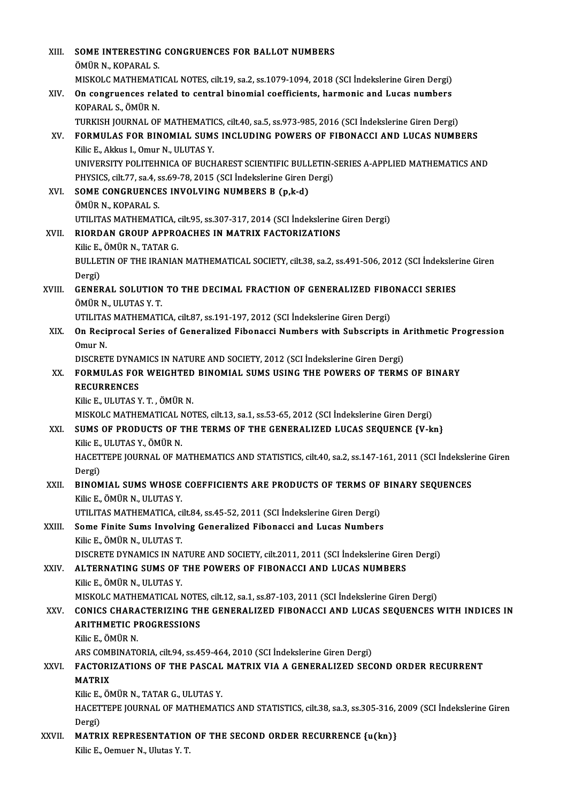| XIII.  | SOME INTERESTING CONGRUENCES FOR BALLOT NUMBERS                                                          |
|--------|----------------------------------------------------------------------------------------------------------|
|        | ÖMÜR N., KOPARAL S.                                                                                      |
|        | MISKOLC MATHEMATICAL NOTES, cilt.19, sa.2, ss.1079-1094, 2018 (SCI Indekslerine Giren Dergi)             |
| XIV.   | On congruences related to central binomial coefficients, harmonic and Lucas numbers                      |
|        | KOPARAL S., ÖMÜR N.                                                                                      |
|        | TURKISH JOURNAL OF MATHEMATICS, cilt.40, sa.5, ss.973-985, 2016 (SCI İndekslerine Giren Dergi)           |
| XV.    | FORMULAS FOR BINOMIAL SUMS INCLUDING POWERS OF FIBONACCI AND LUCAS NUMBERS                               |
|        | Kilic E., Akkus I., Omur N., ULUTAS Y.                                                                   |
|        | UNIVERSITY POLITEHNICA OF BUCHAREST SCIENTIFIC BULLETIN-SERIES A-APPLIED MATHEMATICS AND                 |
|        | PHYSICS, cilt.77, sa.4, ss.69-78, 2015 (SCI İndekslerine Giren Dergi)                                    |
| XVI.   | SOME CONGRUENCES INVOLVING NUMBERS B (p,k-d)                                                             |
|        | ÖMÜR N., KOPARAL S.                                                                                      |
|        | UTILITAS MATHEMATICA, cilt 95, ss.307-317, 2014 (SCI Indekslerine Giren Dergi)                           |
| XVII.  | RIORDAN GROUP APPROACHES IN MATRIX FACTORIZATIONS                                                        |
|        | Kilic E., ÖMÜR N., TATAR G.                                                                              |
|        | BULLETIN OF THE IRANIAN MATHEMATICAL SOCIETY, cilt.38, sa.2, ss.491-506, 2012 (SCI Indekslerine Giren    |
|        | Dergi)                                                                                                   |
| XVIII. | GENERAL SOLUTION TO THE DECIMAL FRACTION OF GENERALIZED FIBONACCI SERIES                                 |
|        | ÖMÜR N., ULUTAS Y. T.                                                                                    |
|        | UTILITAS MATHEMATICA, cilt.87, ss.191-197, 2012 (SCI İndekslerine Giren Dergi)                           |
| XIX.   | On Reciprocal Series of Generalized Fibonacci Numbers with Subscripts in Arithmetic Progression          |
|        | Omur <sub>N</sub>                                                                                        |
|        | DISCRETE DYNAMICS IN NATURE AND SOCIETY, 2012 (SCI İndekslerine Giren Dergi)                             |
| XX.    | FORMULAS FOR WEIGHTED BINOMIAL SUMS USING THE POWERS OF TERMS OF BINARY                                  |
|        | <b>RECURRENCES</b>                                                                                       |
|        | Kilic E., ULUTAS Y. T., ÖMÜR N.                                                                          |
|        | MISKOLC MATHEMATICAL NOTES, cilt.13, sa.1, ss.53-65, 2012 (SCI İndekslerine Giren Dergi)                 |
| XXI.   | SUMS OF PRODUCTS OF THE TERMS OF THE GENERALIZED LUCAS SEQUENCE {V-kn}                                   |
|        | Kilic E. ULUTAS Y. ÖMÜR N.                                                                               |
|        | HACETTEPE JOURNAL OF MATHEMATICS AND STATISTICS, cilt.40, sa.2, ss.147-161, 2011 (SCI Indekslerine Giren |
|        |                                                                                                          |
| XXII.  | Dergi)<br>BINOMIAL SUMS WHOSE COEFFICIENTS ARE PRODUCTS OF TERMS OF BINARY SEQUENCES                     |
|        | Kilic E, ÖMÜR N., ULUTAS Y.                                                                              |
|        | UTILITAS MATHEMATICA, cilt.84, ss.45-52, 2011 (SCI Indekslerine Giren Dergi)                             |
| XXIII. | Some Finite Sums Involving Generalized Fibonacci and Lucas Numbers                                       |
|        | Kilic E., ÖMÜR N., ULUTAS T.                                                                             |
|        |                                                                                                          |
|        | DISCRETE DYNAMICS IN NATURE AND SOCIETY, cilt.2011, 2011 (SCI Indekslerine Giren Dergi)                  |
| XXIV.  | ALTERNATING SUMS OF THE POWERS OF FIBONACCI AND LUCAS NUMBERS                                            |
|        | Kilic E., ÖMÜR N., ULUTAS Y.                                                                             |
|        | MISKOLC MATHEMATICAL NOTES, cilt.12, sa.1, ss.87-103, 2011 (SCI İndekslerine Giren Dergi)                |
| XXV.   | CONICS CHARACTERIZING THE GENERALIZED FIBONACCI AND LUCAS SEQUENCES WITH INDICES IN                      |
|        | <b>ARITHMETIC PROGRESSIONS</b>                                                                           |
|        | Kilic E, ÖMÜR N                                                                                          |
|        | ARS COMBINATORIA, cilt 94, ss 459-464, 2010 (SCI İndekslerine Giren Dergi)                               |
| XXVI.  | FACTORIZATIONS OF THE PASCAL MATRIX VIA A GENERALIZED SECOND ORDER RECURRENT                             |
|        | <b>MATRIX</b>                                                                                            |
|        | Kilic E., ÖMÜR N., TATAR G., ULUTAS Y.                                                                   |
|        | HACETTEPE JOURNAL OF MATHEMATICS AND STATISTICS, cilt.38, sa.3, ss.305-316, 2009 (SCI Indekslerine Giren |
|        | Dergi)                                                                                                   |
| XXVII. | MATRIX REPRESENTATION OF THE SECOND ORDER RECURRENCE {u(kn)}                                             |
|        | Kilic E., Oemuer N., Ulutas Y.T.                                                                         |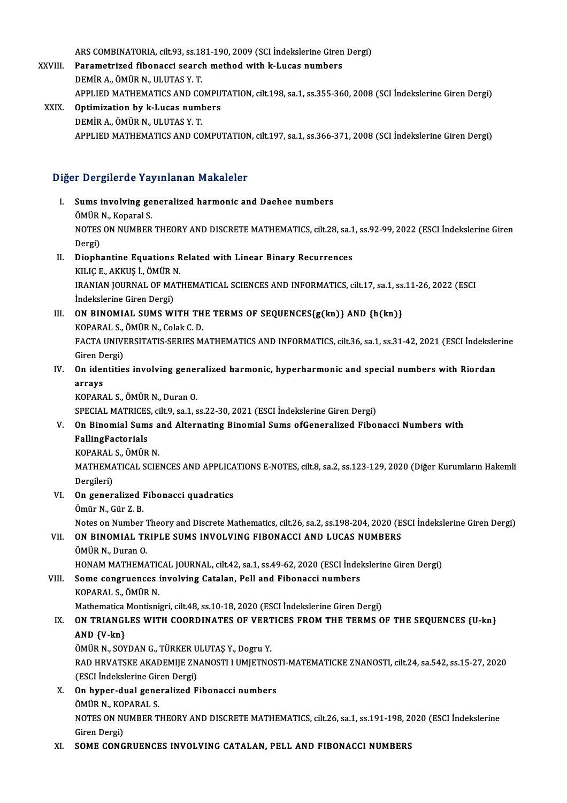ARS COMBINATORIA, cilt.93, ss.181-190, 2009 (SCI İndekslerine Giren Dergi)

- ARS COMBINATORIA, cilt.93, ss.181-190, 2009 (SCI indekslerine Giren<br>XXVIII. Parametrized fibonacci search method with k-Lucas numbers ARS COMBINATORIA, cilt.93, ss.18<br>Parametrized fibonacci searc<br>DEMİR A., ÖMÜR N., ULUTAS Y. T.<br>APPLIED MATHEMATICS AND CO DEMİR A., ÖMÜR N., ULUTAS Y. T.<br>APPLIED MATHEMATICS AND COMPUTATION, cilt.198, sa.1, ss.355-360, 2008 (SCI İndekslerine Giren Dergi)
- XXIX. Optimization by k-Lucas numbers DEMİRA.,ÖMÜRN.,ULUTASY.T. APPLIED MATHEMATICS AND COMPUTATION, cilt.197, sa.1, ss.366-371, 2008 (SCI İndekslerine Giren Dergi)

## Diğer Dergilerde Yayınlanan Makaleler

- Iger Dergilerde Yayınlanan Makaleler<br>I. Sums involving generalized harmonic and Daehee numbers<br>ÖMÜP N. Kanarel S. Songhorde Tag<br>Sums involving ge<br>ÖMÜR N., Koparal S.<br>NOTES ON NUMPER NOTES ON NUMBER THEORY AND DISCRETE MATHEMATICS, cilt.28, sa.1, ss.92-99, 2022 (ESCI İndekslerine Giren<br>Dergi) ÖMÜR N., Koparal S. NOTES ON NUMBER THEORY AND DISCRETE MATHEMATICS, cilt.28, sa.1<br>Dergi)<br>II. Diophantine Equations Related with Linear Binary Recurrences<br>VILICE AVVIS LÖMÜRN
- Dergi)<br>Diophantine Equations R<br>KILIÇ E., AKKUŞ İ., ÖMÜR N.<br>IRANIAN IQURNAL OE MAT Diophantine Equations Related with Linear Binary Recurrences<br>KILIÇ E., AKKUŞ İ., ÖMÜR N.<br>IRANIAN JOURNAL OF MATHEMATICAL SCIENCES AND INFORMATICS, cilt.17, sa.1, ss.11-26, 2022 (ESCI<br>İndekalerine Cirer Dergi) KILIÇ E., AKKUŞ İ., ÖMÜR N<br>IRANIAN JOURNAL OF MA<br>İndekslerine Giren Dergi)<br>ON BINOMIAL SUMS WI IRANIAN JOURNAL OF MATHEMATICAL SCIENCES AND INFORMATICS, cilt.17, sa.1, ss<br>indekslerine Giren Dergi)<br>III. **ON BINOMIAL SUMS WITH THE TERMS OF SEQUENCES{g(kn)} AND {h(kn)}**<br>KOBARAL S. ÖMÜR N. Colak C. D.
- Indekslerine Giren Dergi)<br>III. ON BINOMIAL SUMS WITH THE TERMS OF SEQUENCES{g(kn)} AND {h(kn)}<br>KOPARAL S., ÖMÜR N., Colak C. D. ON BINOMIAL SUMS WITH THE TERMS OF SEQUENCES{g(kn)} AND {h(kn)}<br>KOPARAL S., ÖMÜR N., Colak C. D.<br>FACTA UNIVERSITATIS-SERIES MATHEMATICS AND INFORMATICS, cilt.36, sa.1, ss.31-42, 2021 (ESCI İndekslerine<br>Ciron Dergi) KOPARAL S.,<br>FACTA UNIVI<br>Giren Dergi)<br>On identitie FACTA UNIVERSITATIS-SERIES MATHEMATICS AND INFORMATICS, cilt.36, sa.1, ss.31-42, 2021 (ESCI İndeksle<br>Giren Dergi)<br>IV. On identities involving generalized harmonic, hyperharmonic and special numbers with Riordan<br>arrays

# Giren D<br>On ider<br>arrays<br><sup>VODAD</sup>! On identities involving gener<br>arrays<br>KOPARAL S., ÖMÜR N., Duran O.<br>SPECIAL MATPICES silt O. 32.1.5

arrays<br>KOPARAL S., ÖMÜR N., Duran O.<br>SPECIAL MATRICES, cilt.9, sa.1, ss.22-30, 2021 (ESCI İndekslerine Giren Dergi)<br>On Binamial Sums and Alternating Binamial Sums affenaralized Fihai

# KOPARAL S., ÖMÜR N., Duran O.<br>SPECIAL MATRICES, cilt.9, sa.1, ss.22-30, 2021 (ESCI İndekslerine Giren Dergi)<br>V. On Binomial Sums and Alternating Binomial Sums ofGeneralized Fibonacci Numbers with<br>FallingFactorials SPECIAL MATRICES<br>On Binomial Sum<br>FallingFactorials<br>KORARAL S. ÖMÜR

On Binomial Sums a<br>FallingFactorials<br>KOPARAL S., ÖMÜR N.<br>MATUEMATICAL SCIE MATHEMATICAL SCIENCES AND APPLICATIONS E-NOTES, cilt.8, sa.2, ss.123-129, 2020 (Diğer Kurumların Hakemli Dergileri) KOPARAL<br>MATHEMA<br>Dergileri)<br>On sener MATHEMATICAL SCIENCES AND APPLICA<br>Dergileri)<br>VI. On generalized Fibonacci quadratics<br>Ömün N. Gün Z. P Dergileri)<br>**On generalized l<br>Ömür N., Gür Z. B.**<br>Nates an Numbar

Ömür N., Gür Z. B.<br>Notes on Number Theory and Discrete Mathematics, cilt.26, sa.2, ss.198-204, 2020 (ESCI İndekslerine Giren Dergi) Ömür N., Gür Z. B.<br>Notes on Number Theory and Discrete Mathematics, cilt.26, sa.2, ss.198-204, 2020 (E.<br>VII. ON BINOMIAL TRIPLE SUMS INVOLVING FIBONACCI AND LUCAS NUMBERS<br>ÖMÜR N. Duran Q Notes on Number 7<br>**ON BINOMIAL TR<br>ÖMÜR N., Duran O.<br>HONAM MATHEMA** 

ÖMÜR N., Duran O.<br>HONAM MATHEMATICAL JOURNAL, cilt.42, sa.1, ss.49-62, 2020 (ESCI İndekslerine Giren Dergi)

# ÖMÜR N., Duran O.<br>HONAM MATHEMATICAL JOURNAL, cilt.42, sa.1, ss.49-62, 2020 (ESCI İndel<br>VIII. Some congruences involving Catalan, Pell and Fibonacci numbers<br>KOBARAL S. ÖMÜR N HONAM MATHEMATIC<br>Some congruences<br>KOPARAL S., ÖMÜR N.<br>Mathematice Mentioni Some congruences involving Catalan, Pell and Fibonacci numbers<br>KOPARAL S., ÖMÜR N.<br>Mathematica Montisnigri, cilt.48, ss.10-18, 2020 (ESCI İndekslerine Giren Dergi)<br>ON TRIANCI ES WITH COORDINATES OF VERTICES EROM THE TERMS

# KOPARAL S., ÖMÜR N.<br>Mathematica Montisnigri, cilt.48, ss.10-18, 2020 (ESCI İndekslerine Giren Dergi)<br>IX. ON TRIANGLES WITH COORDINATES OF VERTICES FROM THE TERMS OF THE SEQUENCES {U-kn} Mathematica<br>ON TRIANGI<br>AND {V-kn}<br>ÖMÜP N SOV ON TRIANGLES WITH COORDINATES OF VERT<br>AND {V-kn}<br>ÖMÜR N., SOYDAN G., TÜRKER ULUTAŞ Y., Dogru Y.<br>BAD HPVATSKE AKADEMIE ZNANOSTI LIMIETNO

ÖMÜR N., SOYDAN G., TÜRKER ULUTAŞ Y., Dogru Y.

AND {V-kn}<br>ÖMÜR N., SOYDAN G., TÜRKER ULUTAŞ Y., Dogru Y.<br>RAD HRVATSKE AKADEMIJE ZNANOSTI I UMJETNOSTI-MATEMATICKE ZNANOSTI, cilt.24, sa.542, ss.15-27, 2020<br>(ESCI İndekslerine Giren Dergi) RAD HRVATSKE AKADEMIJE ZNANOSTI I UMJETNOS<br>(ESCI İndekslerine Giren Dergi)<br>X. On hyper-dual generalized Fibonacci numbers<br>ÖMÜB N. KOBARAL S.

- (ESCI İndekslerine Gir<br>**On hyper-dual gene**<br>ÖMÜR N., KOPARAL S.<br>NOTES ON NUMPER T On hyper-dual generalized Fibonacci numbers<br>ÖMÜR N., KOPARAL S.<br>NOTES ON NUMBER THEORY AND DISCRETE MATHEMATICS, cilt.26, sa.1, ss.191-198, 2020 (ESCI İndekslerine<br>Ciron Dergi) ÖMÜR N., KO<br>NOTES ON NI<br>Giren Dergi)<br>SOME CONC
- Giren Dergi)<br>XI. SOME CONGRUENCES INVOLVING CATALAN, PELL AND FIBONACCI NUMBERS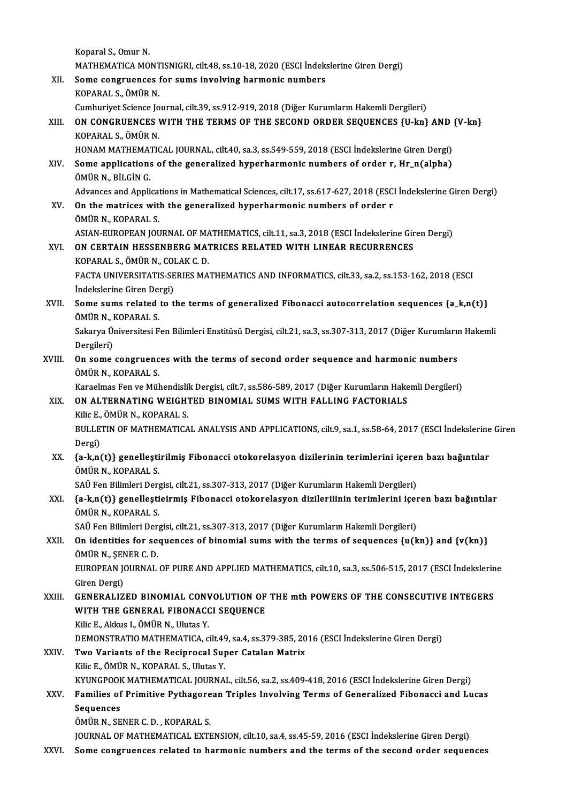Koparal S., Omur N. Koparal S., Omur N.<br>MATHEMATICA MONTISNIGRI, cilt.48, ss.10-18, 2020 (ESCI İndekslerine Giren Dergi)<br>Seme gengruanges for sums invelving bermanis numbars Koparal S., Omur N.<br>MATHEMATICA MONTISNIGRI, cilt.48, ss.10-18, 2020 (ESCI İndeks<br>XII. Some congruences for sums involving harmonic numbers<br>KOPARALS ÖMÜR N MATHEMATICA MONT<br>Some congruences<br>KOPARAL S., ÖMÜR N.<br>Cumburiyat Ssiance Io XII. Some congruences for sums involving harmonic numbers<br>KOPARAL S., ÖMÜR N.<br>Cumhuriyet Science Journal, cilt.39, ss.912-919, 2018 (Diğer Kurumların Hakemli Dergileri) KOPARAL S., ÖMÜR N.<br>Cumhuriyet Science Journal, cilt.39, ss.912-919, 2018 (Diğer Kurumların Hakemli Dergileri)<br>XIII. ON CONGRUENCES WITH THE TERMS OF THE SECOND ORDER SEQUENCES {U-kn} AND {V-kn}<br>KOPARAL S. ÖMÜR N Cumhuriyet Science Jo<br>**ON CONGRUENCES**<br>KOPARAL S., ÖMÜR N.<br>HONAM MATUEMATIC ON CONGRUENCES WITH THE TERMS OF THE SECOND ORDER SEQUENCES {U-kn} AND<br>KOPARAL S., ÖMÜR N.<br>HONAM MATHEMATICAL JOURNAL, cilt.40, sa.3, ss.549-559, 2018 (ESCI İndekslerine Giren Dergi)<br>Sama annlisations of the generalized by KOPARAL S., ÖMÜR N.<br>HONAM MATHEMATICAL JOURNAL, cilt.40, sa.3, ss.549-559, 2018 (ESCI İndekslerine Giren Dergi)<br>XIV. Some applications of the generalized hyperharmonic numbers of order r, Hr\_n(alpha)<br>ÖMÜP N. PH CİN C HONAM MATHEMAT<br>Some applications<br>ÖMÜR N., BİLGİN G.<br>Advances and Annli Some applications of the generalized hyperharmonic numbers of order r, Hr\_n(alpha)<br>ÖMÜR N., BİLGİN G.<br>Advances and Applications in Mathematical Sciences, cilt.17, ss.617-627, 2018 (ESCI İndekslerine Giren Dergi)<br>On the mat OMÜR N., BILGIN G.<br>Advances and Applications in Mathematical Sciences, cilt.17, ss.617-627, 2018 (ESC.<br>XV. On the matrices with the generalized hyperharmonic numbers of order r<br>ÖMÜR N., KOPARAL S. Advances and Applicat<br>**On the matrices wit**<br>ÖMÜR N., KOPARAL S.<br>ASIAN EUROPEAN JOL On the matrices with the generalized hyperharmonic numbers of order r<br>ÖMÜR N., KOPARAL S.<br>ASIAN-EUROPEAN JOURNAL OF MATHEMATICS, cilt.11, sa.3, 2018 (ESCI İndekslerine Giren Dergi)<br>ON CERTAIN HESSENBERC MATRICES RELATED WI XVI. ON CERTAIN HESSENBERG MATRICES RELATED WITH LINEAR RECURRENCES ASIAN-EUROPEAN JOURNAL OF MAN<br>**ON CERTAIN HESSENBERG MAT<br>KOPARAL S., ÖMÜR N., COLAK C. D.<br>FACTA UNIVERSITATIS SERIES MA** FACTA UNIVERSITATIS-SERIES MATHEMATICS AND INFORMATICS, cilt.33, sa.2, ss.153-162, 2018 (ESCI<br>Indekslerine Giren Dergi) KOPARAL S., ÖMÜR N., COLAK C. D. FACTA UNIVERSITATIS-SERIES MATHEMATICS AND INFORMATICS, cilt.33, sa.2, ss.153-162, 2018 (ESCI<br>Indekslerine Giren Dergi)<br>XVII. Some sums related to the terms of generalized Fibonacci autocorrelation sequences {a\_k,n(t)}<br>ÖMÜ İndekslerine Giren Dei<br>Some sums related<br>ÖMÜR N., KOPARAL S.<br>Selmure Üniversitesi E Some sums related to the terms of generalized Fibonacci autocorrelation sequences {a\_k,n(t)}<br>ÖMÜR N., KOPARAL S.<br>Sakarya Üniversitesi Fen Bilimleri Enstitüsü Dergisi, cilt.21, sa.3, ss.307-313, 2017 (Diğer Kurumların Hakem ÖMÜR N., KOPARAL S.<br>Sakarya Üniversitesi Fen Bilimleri Enstitüsü Dergisi, cilt.21, sa.3, ss.307-313, 2017 (Diğer Kurumların Hakemli<br>Dergileri) Sakarya Üniversitesi Fen Bilimleri Enstitüsü Dergisi, cilt.21, sa.3, ss.307-313, 2017 (Diğer Kurumlarıı<br>Dergileri)<br>XVIII. On some congruences with the terms of second order sequence and harmonic numbers<br>ÖMÜR N. KORARAI S Dergileri)<br>**On some congruenc**<br>ÖMÜR N., KOPARAL S.<br>Koraelmas Fen ve Mül On some congruences with the terms of second order sequence and harmonic numbers<br>ÖMÜR N., KOPARAL S.<br>Karaelmas Fen ve Mühendislik Dergisi, cilt.7, ss.586-589, 2017 (Diğer Kurumların Hakemli Dergileri)<br>ON ALTERNATING WELGHT ÖMÜR N., KOPARAL S.<br>Karaelmas Fen ve Mühendislik Dergisi, cilt.7, ss.586-589, 2017 (Diğer Kurumların Hake<br>XIX. ON ALTERNATING WEIGHTED BINOMIAL SUMS WITH FALLING FACTORIALS<br>Kilia E. ÖMÜR N. KORARAL S. Karaelmas Fen ve Mühendisli<br>ON ALTERNATING WEIGHT<br>Kilic E., ÖMÜR N., KOPARAL S.<br>PULLETIN OF MATHEMATICA ON ALTERNATING WEIGHTED BINOMIAL SUMS WITH FALLING FACTORIALS<br>Kilic E., ÖMÜR N., KOPARAL S.<br>BULLETIN OF MATHEMATICAL ANALYSIS AND APPLICATIONS, cilt.9, sa.1, ss.58-64, 2017 (ESCI İndekslerine Giren<br>Dergi) Kilic E.,<br>BULLE<br>Dergi)<br>(e. k.n. BULLETIN OF MATHEMATICAL ANALYSIS AND APPLICATIONS, cilt.9, sa.1, ss.58-64, 2017 (ESCI İndekslerine<br>Dergi)<br>XX. {a-k,n(t)} genelleştirilmiş Fibonacci otokorelasyon dizilerinin terimlerini içeren bazı bağıntılar<br>ÖMÜP N. KORA Dergi)<br>{<mark>a-k,n(t)} genelleşti</mark><br>ÖMÜR N., KOPARAL S.<br>SAÜ Fen Bilimleri Der {a-k,n(t)} genelleştirilmiş Fibonacci otokorelasyon dizilerinin terimlerini içere<br>ÖMÜR N., KOPARAL S.<br>SAÜ Fen Bilimleri Dergisi, cilt.21, ss.307-313, 2017 (Diğer Kurumların Hakemli Dergileri)<br>(a k n(t)) genellestisinmiş Fi ÖMÜR N., KOPARAL S.<br>SAÜ Fen Bilimleri Dergisi, cilt.21, ss.307-313, 2017 (Diğer Kurumların Hakemli Dergileri)<br>XXI. {a-k,n(t)} genelleştieirmiş Fibonacci otokorelasyon dizileriiinin terimlerini içeren bazı bağıntılar<br>ÖM SAÜ Fen Bilimleri Derg<br>{a-k,n(t)} genelleşti<br>ÖMÜR N., KOPARAL S.<br>SAÜ Fen Bilimleri Derg {a-k,n(t)} genelleştieirmiş Fibonacci otokorelasyon dizileriiinin terimlerini içer<br>ÖMÜR N., KOPARAL S.<br>SAÜ Fen Bilimleri Dergisi, cilt.21, ss.307-313, 2017 (Diğer Kurumların Hakemli Dergileri)<br>On identities for sequences o OMÜR N., KOPARAL S.<br>SAÜ Fen Bilimleri Dergisi, cilt.21, ss.307-313, 2017 (Diğer Kurumların Hakemli Dergileri)<br>XXII. On identities for sequences of binomial sums with the terms of sequences {u(kn)} and {v(kn)}<br>ÖMÜR N., ŞENE SAÜ Fen Bilimleri Dergisi, cilt.21, ss.307-313, 2017 (Diğer Kurumların Hakemli Dergileri) On identities for sequences of binomial sums with the terms of sequences {u(kn)} and {v(kn)}<br>ÖMÜR N., ŞENER C. D.<br>EUROPEAN JOURNAL OF PURE AND APPLIED MATHEMATICS, cilt.10, sa.3, ss.506-515, 2017 (ESCI İndekslerine<br>Ciron D ÖMÜR N., ŞEN<br>EUROPEAN J(<br>Giren Dergi)<br>CENERAL 17 EUROPEAN JOURNAL OF PURE AND APPLIED MATHEMATICS, cilt.10, sa.3, ss.506-515, 2017 (ESCI İndekslerin<br>Giren Dergi)<br>XXIII. GENERALIZED BINOMIAL CONVOLUTION OF THE mth POWERS OF THE CONSECUTIVE INTEGERS<br>WITH THE CENERAL EIRONA Giren Dergi)<br>XXIII. GENERALIZED BINOMIAL CONVOLUTION OF THE mth POWERS OF THE CONSECUTIVE INTEGERS<br>WITH THE GENERAL FIBONACCI SEQUENCE<br>Kilic E., Akkus I., ÖMÜR N., Ulutas Y. WITH THE GENERAL FIBONACCI SEQUENCE WITH THE GENERAL FIBONACCI SEQUENCE<br>Kilic E., Akkus I., ÖMÜR N., Ulutas Y.<br>DEMONSTRATIO MATHEMATICA, cilt.49, sa.4, ss.379-385, 2016 (ESCI İndekslerine Giren Dergi)<br>Tura Vanianta of the Bosinnasel Sunar Catalan Matriy. XXIV. Two Variants of the Reciprocal Super Catalan Matrix<br>Kilic E., ÖMÜR N., KOPARAL S., Ulutas Y. DEMONSTRATIO MATHEMATICA, cilt.49<br>Two Variants of the Reciprocal Sup<br>Kilic E., ÖMÜR N., KOPARAL S., Ulutas Y.<br>KYUNCROOK MATHEMATICAL JOURNA Two Variants of the Reciprocal Super Catalan Matrix<br>Kilic E., ÖMÜR N., KOPARAL S., Ulutas Y.<br>KYUNGPOOK MATHEMATICAL JOURNAL, cilt.56, sa.2, ss.409-418, 2016 (ESCI İndekslerine Giren Dergi)<br>Familias of Primitive Bythegersen Kilic E., ÖMÜR N., KOPARAL S., Ulutas Y.<br>KYUNGPOOK MATHEMATICAL JOURNAL, cilt.56, sa.2, ss.409-418, 2016 (ESCI İndekslerine Giren Dergi)<br>XXV. Families of Primitive Pythagorean Triples Involving Terms of Generalized Fib KYUNGPOOF<br>Families of<br>Sequences<br>ÖMÜP N-SE Families of Primitive Pythagore<br>Sequences<br>ÖMÜR N., SENER C. D. , KOPARAL S.<br>JOUPNAL OF MATHEMATICAL EVTE Sequences<br>ÖMÜR N., SENER C. D. , KOPARAL S.<br>JOURNAL OF MATHEMATICAL EXTENSION, cilt.10, sa.4, ss.45-59, 2016 (ESCI İndekslerine Giren Dergi) XXVI. Some congruences related to harmonic numbers and the terms of the second order sequences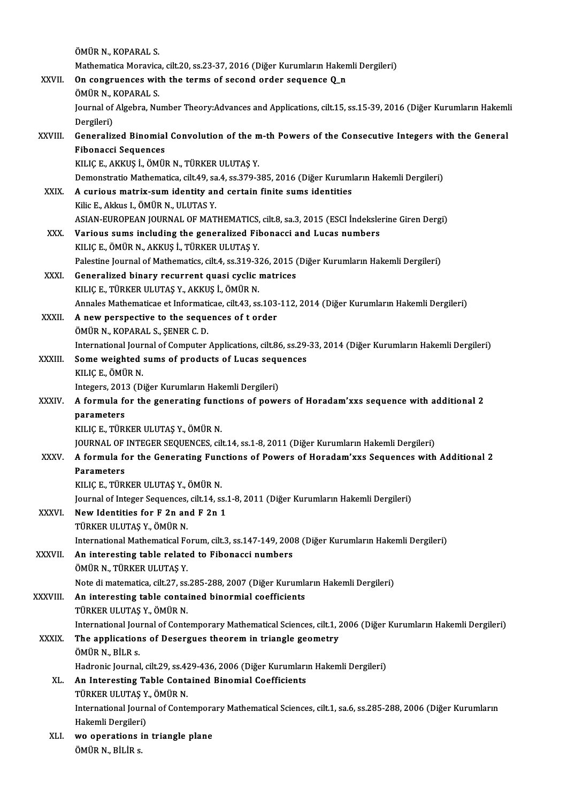|              | ÖMÜR N., KOPARAL S.                                                                                                                               |
|--------------|---------------------------------------------------------------------------------------------------------------------------------------------------|
|              | Mathematica Moravica, cilt.20, ss.23-37, 2016 (Diğer Kurumların Hakemli Dergileri)                                                                |
| XXVII.       | On congruences with the terms of second order sequence Q_n                                                                                        |
|              | ÖMÜR N., KOPARAL S.                                                                                                                               |
|              | Journal of Algebra, Number Theory: Advances and Applications, cilt.15, ss.15-39, 2016 (Diğer Kurumların Hakemli                                   |
|              | Dergileri)                                                                                                                                        |
| XXVIII.      | Generalized Binomial Convolution of the m-th Powers of the Consecutive Integers with the General                                                  |
|              | <b>Fibonacci Sequences</b>                                                                                                                        |
|              | KILIÇ E, AKKUŞ İ, ÖMÜR N, TÜRKER ULUTAŞ Y.                                                                                                        |
|              | Demonstratio Mathematica, cilt.49, sa.4, ss.379-385, 2016 (Diğer Kurumların Hakemli Dergileri)                                                    |
| XXIX.        | A curious matrix-sum identity and certain finite sums identities                                                                                  |
|              | Kilic E., Akkus I., ÖMÜR N., ULUTAS Y.                                                                                                            |
|              | ASIAN-EUROPEAN JOURNAL OF MATHEMATICS, cilt.8, sa.3, 2015 (ESCI İndekslerine Giren Dergi)                                                         |
| XXX.         | Various sums including the generalized Fibonacci and Lucas numbers                                                                                |
|              | KILIÇ E, ÖMÜR N, AKKUŞ İ, TÜRKER ULUTAŞ Y.                                                                                                        |
|              | Palestine Journal of Mathematics, cilt.4, ss.319-326, 2015 (Diğer Kurumların Hakemli Dergileri)                                                   |
| XXXI.        | Generalized binary recurrent quasi cyclic matrices                                                                                                |
|              | KILIÇ E., TÜRKER ULUTAŞ Y., AKKUŞ İ., ÖMÜR N.                                                                                                     |
|              | Annales Mathematicae et Informaticae, cilt.43, ss.103-112, 2014 (Diğer Kurumların Hakemli Dergileri)                                              |
| XXXII.       | A new perspective to the sequences of t order                                                                                                     |
|              | ÖMÜR N., KOPARAL S., ŞENER C. D.                                                                                                                  |
|              | International Journal of Computer Applications, cilt.86, ss.29-33, 2014 (Diğer Kurumların Hakemli Dergileri)                                      |
| XXXIII.      | Some weighted sums of products of Lucas sequences                                                                                                 |
|              | KILIÇ E, ÖMÜR N.                                                                                                                                  |
| <b>XXXIV</b> | Integers, 2013 (Diğer Kurumların Hakemli Dergileri)<br>A formula for the generating functions of powers of Horadam'xxs sequence with additional 2 |
|              | parameters                                                                                                                                        |
|              | KILIÇ E, TÜRKER ULUTAŞ Y, ÖMÜR N.                                                                                                                 |
|              | JOURNAL OF INTEGER SEQUENCES, cilt.14, ss.1-8, 2011 (Diğer Kurumların Hakemli Dergileri)                                                          |
| <b>XXXV</b>  | A formula for the Generating Functions of Powers of Horadam'xxs Sequences with Additional 2                                                       |
|              | <b>Parameters</b>                                                                                                                                 |
|              | KILIÇ E, TÜRKER ULUTAŞ Y., ÖMÜR N.                                                                                                                |
|              | Journal of Integer Sequences, cilt.14, ss.1-8, 2011 (Diğer Kurumların Hakemli Dergileri)                                                          |
| <b>XXXVI</b> | New Identities for F 2n and F 2n 1                                                                                                                |
|              | TÜRKER ULUTAŞ Y., ÖMÜR N.                                                                                                                         |
|              | International Mathematical Forum, cilt.3, ss.147-149, 2008 (Diğer Kurumların Hakemli Dergileri)                                                   |
| XXXVII.      | An interesting table related to Fibonacci numbers                                                                                                 |
|              | ÖMÜR N., TÜRKER ULUTAŞ Y.                                                                                                                         |
|              | Note di matematica, cilt.27, ss.285-288, 2007 (Diğer Kurumların Hakemli Dergileri)                                                                |
| XXXVIII.     | An interesting table contained binormial coefficients                                                                                             |
|              | TÜRKER ULUTAŞ Y., ÖMÜR N.                                                                                                                         |
|              | International Journal of Contemporary Mathematical Sciences, cilt.1, 2006 (Diğer Kurumların Hakemli Dergileri)                                    |
| <b>XXXIX</b> | The applications of Desergues theorem in triangle geometry                                                                                        |
|              | ÖMÜR N., BİLR s.                                                                                                                                  |
|              | Hadronic Journal, cilt.29, ss.429-436, 2006 (Diğer Kurumların Hakemli Dergileri)                                                                  |
| XL.          | An Interesting Table Contained Binomial Coefficients<br>TÜRKER ULUTAŞ Y., ÖMÜR N.                                                                 |
|              | International Journal of Contemporary Mathematical Sciences, cilt.1, sa.6, ss.285-288, 2006 (Diğer Kurumların                                     |
|              | Hakemli Dergileri)                                                                                                                                |
| XLI.         | wo operations in triangle plane                                                                                                                   |
|              | ÖMÜR N., BİLİR s.                                                                                                                                 |
|              |                                                                                                                                                   |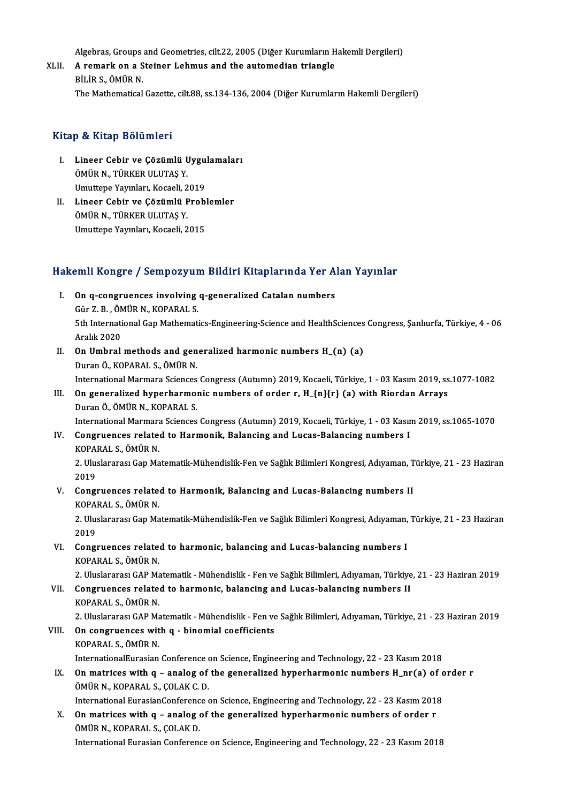Algebras, Groups and Geometries, cilt.22, 2005 (Diğer Kurumların Hakemli Dergileri)<br>A remark en a Steiner Lebmus and the autemedian triangle

Algebras, Groups and Geometries, cilt.22, 2005 (Diğer Kurumların H<br>XLII. A remark on a Steiner Lehmus and the automedian triangle<br>PH DS ÖMÜD N Algebras, Groups<br><mark>A remark on a S</mark><br>BİLİR S., ÖMÜR N.<br>The Mathematical A remark on a Steiner Lehmus and the automedian triangle<br>BİLİR S., ÖMÜR N.<br>The Mathematical Gazette, cilt.88, ss.134-136, 2004 (Diğer Kurumların Hakemli Dergileri)

### Kitap & Kitap Bölümleri

- Itap & Kitap Bölümleri<br>I. Lineer Cebir ve Çözümlü Uygulamaları<br>ÖMÜP N. TÜRKER III UTAS V p & IIItap Botaniiori<br>Lineer Cebir ve Çözümlü U<br>ÖMÜR N., TÜRKER ULUTAŞ Y.<br>Umuttana Yayınları, Kasaali 2 Lineer Cebir ve Çözümlü Uygu<br>ÖMÜR N., TÜRKER ULUTAŞ Y.<br>Umuttepe Yayınları, Kocaeli, 2019<br>Lineer Cebir ve Çözümlü Prebl ÖMÜR N., TÜRKER ULUTAŞ Y.<br>Umuttepe Yayınları, Kocaeli, 2019<br>II. Lineer Cebir ve Çözümlü Problemler<br>ÖMÜP N. TÜRKER III IITAS Y
- Umuttepe Yayınları, Kocaeli, 2<br>Lineer Cebir ve Çözümlü F<br>ÖMÜR N., TÜRKER ULUTAŞ Y.<br>Umuttana Yayınları, Kasaali, 2 Lineer Cebir ve Çözümlü Probl<br>ÖMÜR N., TÜRKER ULUTAŞ Y.<br>Umuttepe Yayınları, Kocaeli, 2015

# umuttepe rayınları, Kocaeli, 2015<br>Hakemli Kongre / Sempozyum Bildiri Kitaplarında Yer Alan Yayınlar

- akemli Kongre / Sempozyum Bildiri Kitaplarında Yer A<br>I. On q-congruences involving q-generalized Catalan numbers<br>Cür Z P. ÖMÜP N. KOPARALS I. On q-congruences involving q-generalized Catalan numbers 5th International Gap Mathematics-Engineering-Science and HealthSciences Congress, Şanlıurfa, Türkiye, 4 - 06<br>Aralık 2020 Gür Z. B., ÖMÜR N., KOPARAL S. Sth International Gap Mathematics-Engineering-Science and HealthSciences<br>Aralık 2020<br>II. On Umbral methods and generalized harmonic numbers H\_(n) (a)<br>Duran Ö, KOBARAL S, ÖMÜR N
- Aralık 2020<br>**On Umbral methods and gen<br>Duran Ö., KOPARAL S., ÖMÜR N.**<br>International Mermare Sciences On Umbral methods and generalized harmonic numbers H\_(n) (a)<br>Duran Ö., KOPARAL S., ÖMÜR N.<br>International Marmara Sciences Congress (Autumn) 2019, Kocaeli, Türkiye, 1 - 03 Kasım 2019, ss.1077-1082<br>On generalized hunerharmon
- Duran Ö., KOPARAL S., ÖMÜR N.<br>International Marmara Sciences Congress (Autumn) 2019, Kocaeli, Türkiye, 1 03 Kasım 2019, ss<br>III. On generalized hyperharmonic numbers of order r, H\_{n}{r} (a) with Riordan Arrays<br>Duran Ö., International Marmara Sciences<br>**On generalized hyperharmo**l<br>Duran Ö., ÖMÜR N., KOPARAL S.<br>International Marmara Sciences On generalized hyperharmonic numbers of order r, H\_{n}{r} (a) with Riordan Arrays<br>Duran Ö., ÖMÜR N., KOPARAL S.<br>International Marmara Sciences Congress (Autumn) 2019, Kocaeli, Türkiye, 1 - 03 Kasım 2019, ss.1065-1070<br>Congw Duran Ö., ÖMÜR N., KOPARAL S.<br>International Marmara Sciences Congress (Autumn) 2019, Kocaeli, Türkiye, 1 - 03 Kasır<br>IV. Congruences related to Harmonik, Balancing and Lucas-Balancing numbers I<br>KORARAL S. ÖMÜR N

# International Marmara<br>Congruences relate<br>KOPARAL S., ÖMÜR N.<br>2. Uluslarerası Cap Ma Congruences related to Harmonik, Balancing and Lucas-Balancing numbers I<br>KOPARAL S., ÖMÜR N.<br>2. Uluslararası Gap Matematik-Mühendislik-Fen ve Sağlık Bilimleri Kongresi, Adıyaman, Türkiye, 21 - 23 Haziran<br>2010

KOPA<br>2. Ulus<br>2019<br>Congr 2. Uluslararası Gap Matematik-Mühendislik-Fen ve Sağlık Bilimleri Kongresi, Adıyaman, T<br>2019<br>V. Congruences related to Harmonik, Balancing and Lucas-Balancing numbers II<br>KORARAL S. ÖMÜR N

2019<br>V. Congruences related to Harmonik, Balancing and Lucas-Balancing numbers II KOPARAL S., ÖMÜR N.

2. Uluslararası Gap Matematik-Mühendislik-Fen ve Sağlık Bilimleri Kongresi, Adıyaman, Türkiye, 21 - 23 Haziran<br>2019 2. Uluslararası Gap Matematik-Mühendislik-Fen ve Sağlık Bilimleri Kongresi, Adıyaman,<br>2019<br>VI. Congruences related to harmonic, balancing and Lucas-balancing numbers I<br>KORARALS, ÖMÜR N

2019<br>Congruences relate<br>KOPARAL S., ÖMÜR N.<br>2. Hluslararası CAP Me

KOPARAL S., ÖMÜR N.<br>2. Uluslararası GAP Matematik - Mühendislik - Fen ve Sağlık Bilimleri, Adıyaman, Türkiye, 21 - 23 Haziran 2019

KOPARAL S., ÖMÜR N.<br>2. Uluslararası GAP Matematik - Mühendislik - Fen ve Sağlık Bilimleri, Adıyaman, Türkiye<br>VII. Congruences related to harmonic, balancing and Lucas-balancing numbers II<br>KOPARAL S. ÖMÜR N 2. Uluslararası GAP Ma<br>**Congruences relate**<br>KOPARAL S., ÖMÜR N.<br>2. Uluslararası CAP Me

KOPARAL S., ÖMÜR N.<br>2. Uluslararası GAP Matematik - Mühendislik - Fen ve Sağlık Bilimleri, Adıyaman, Türkiye, 21 - 23 Haziran 2019

# KOPARAL S., ÖMÜR N.<br>2. Uluslararası GAP Matematik - Mühendislik - Fen ve<br>VIII. On congruences with q - binomial coefficients<br><sup>VORARAL S.</sup> ÖMÜR N.

2. Uluslararası GAP Ma<br>**On congruences wit**<br>KOPARAL S., ÖMÜR N.<br>InternationalEurasian KOPARAL S., ÖMÜR N.<br>InternationalEurasian Conference on Science, Engineering and Technology, 22 - 23 Kasım 2018

KOPARAL S., ÖMÜR N.<br>InternationalEurasian Conference on Science, Engineering and Technology, 22 - 23 Kasım 2018<br>IX. On matrices with q – analog of the generalized hyperharmonic numbers H\_nr(a) of order r<br>ÖMÜR N. KORARAL S. InternationalEurasian Conference<br> **On matrices with q – analog of<br>
ÖMÜR N., KOPARAL S., ÇOLAK C. D.**<br>
International Eurosian Conference c On matrices with q – analog of the generalized hyperharmonic numbers H\_nr(a) of c<br>ÖMÜR N., KOPARAL S., ÇOLAK C. D.<br>International EurasianConference on Science, Engineering and Technology, 22 - 23 Kasım 2018<br>On matrices wit

ÖMÜR N., KOPARAL S., ÇOLAK C. D.<br>International EurasianConference on Science, Engineering and Technology, 22 - 23 Kasım 201:<br>X. On matrices with q – analog of the generalized hyperharmonic numbers of order r International EurasianConferenc<br>On matrices with q – analog o<br>ÖMÜR N., KOPARAL S., ÇOLAK D.<br>International Eurasian Conferenc X. On matrices with q – analog of the generalized hyperharmonic numbers of order r<br>ÖMÜR N., KOPARAL S., ÇOLAK D.<br>International Eurasian Conference on Science, Engineering and Technology, 22 - 23 Kasım 2018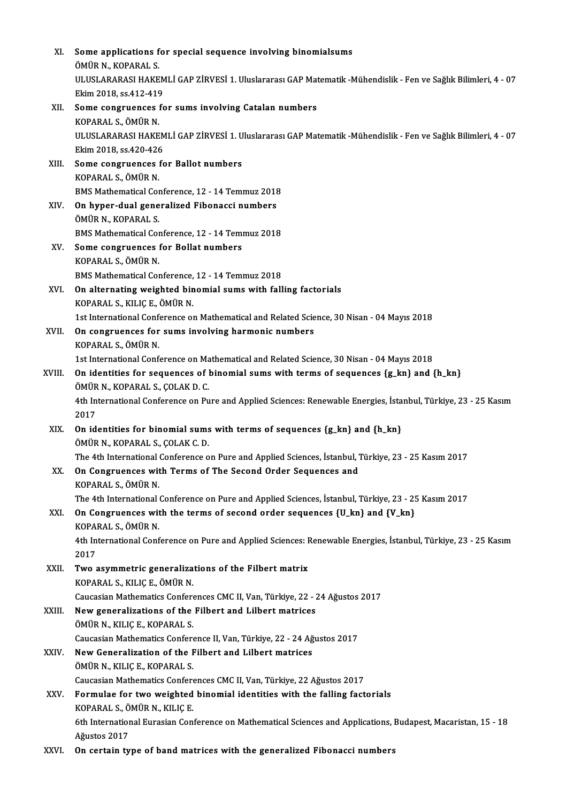| XI.    | Some applications for special sequence involving binomialsums                                                     |
|--------|-------------------------------------------------------------------------------------------------------------------|
|        | ÖMÜR N., KOPARAL S.                                                                                               |
|        | ULUSLARARASI HAKEMLİ GAP ZİRVESİ 1. Uluslararası GAP Matematik -Mühendislik - Fen ve Sağlık Bilimleri, 4 - 07     |
|        | Ekim 2018, ss 412-419                                                                                             |
| XII.   | Some congruences for sums involving Catalan numbers                                                               |
|        | KOPARAL S., ÖMÜR N.                                                                                               |
|        | ULUSLARARASI HAKEMLİ GAP ZİRVESİ 1. Uluslararası GAP Matematik -Mühendislik - Fen ve Sağlık Bilimleri, 4 - 07     |
|        | Ekim 2018, ss 420-426                                                                                             |
| XIII.  | Some congruences for Ballot numbers                                                                               |
|        | KOPARAL S., ÖMÜR N.                                                                                               |
|        | BMS Mathematical Conference, 12 - 14 Temmuz 2018                                                                  |
| XIV.   | On hyper-dual generalized Fibonacci numbers                                                                       |
|        | ÖMÜR N., KOPARAL S.                                                                                               |
|        | BMS Mathematical Conference, 12 - 14 Temmuz 2018                                                                  |
| XV.    | Some congruences for Bollat numbers                                                                               |
|        | KOPARAL S., ÖMÜR N.                                                                                               |
|        | BMS Mathematical Conference, 12 - 14 Temmuz 2018                                                                  |
| XVI.   | On alternating weighted binomial sums with falling factorials                                                     |
|        | KOPARAL S., KILIÇ E., ÖMÜR N.                                                                                     |
|        | 1st International Conference on Mathematical and Related Science, 30 Nisan - 04 Mayıs 2018                        |
| XVII.  | On congruences for sums involving harmonic numbers                                                                |
|        | KOPARAL S., ÖMÜR N.<br>1st International Conference on Mathematical and Related Science, 30 Nisan - 04 Mayıs 2018 |
|        | On identities for sequences of binomial sums with terms of sequences {g_kn} and {h_kn}                            |
| XVIII. | ÖMÜR N., KOPARAL S., ÇOLAK D. C.                                                                                  |
|        | 4th International Conference on Pure and Applied Sciences: Renewable Energies, İstanbul, Türkiye, 23 - 25 Kasım   |
|        | 2017                                                                                                              |
| XIX.   | On identities for binomial sums with terms of sequences {g_kn} and {h_kn}                                         |
|        | ÖMÜR N., KOPARAL S., ÇOLAK C. D.                                                                                  |
|        | The 4th International Conference on Pure and Applied Sciences, İstanbul, Türkiye, 23 - 25 Kasım 2017              |
| XX.    | On Congruences with Terms of The Second Order Sequences and                                                       |
|        | KOPARAL S., ÖMÜR N.                                                                                               |
|        | The 4th International Conference on Pure and Applied Sciences, İstanbul, Türkiye, 23 - 25 Kasım 2017              |
| XXI.   | On Congruences with the terms of second order sequences {U_kn} and {V_kn}                                         |
|        | KOPARAL S., ÖMÜR N.                                                                                               |
|        | 4th International Conference on Pure and Applied Sciences: Renewable Energies, İstanbul, Türkiye, 23 - 25 Kasım   |
|        | 2017                                                                                                              |
| XXII.  | Two asymmetric generalizations of the Filbert matrix                                                              |
|        | KOPARAL S., KILIÇ E., ÖMÜR N.                                                                                     |
|        | Caucasian Mathematics Conferences CMC II, Van, Türkiye, 22 - 24 Ağustos 2017                                      |
| XXIII. | New generalizations of the Filbert and Lilbert matrices<br>ÖMÜR N., KILIÇ E., KOPARAL S.                          |
|        | Caucasian Mathematics Conference II, Van, Türkiye, 22 - 24 Ağustos 2017                                           |
| XXIV.  | New Generalization of the Filbert and Lilbert matrices                                                            |
|        | ÖMÜR N., KILIÇ E., KOPARAL S.                                                                                     |
|        | Caucasian Mathematics Conferences CMC II, Van, Türkiye, 22 Ağustos 2017                                           |
| XXV.   | Formulae for two weighted binomial identities with the falling factorials                                         |
|        | KOPARAL S., ÖMÜR N., KILIÇ E.                                                                                     |
|        | 6th International Eurasian Conference on Mathematical Sciences and Applications, Budapest, Macaristan, 15 - 18    |
|        | Ağustos 2017                                                                                                      |
| XXVI.  | On certain type of band matrices with the generalized Fibonacci numbers                                           |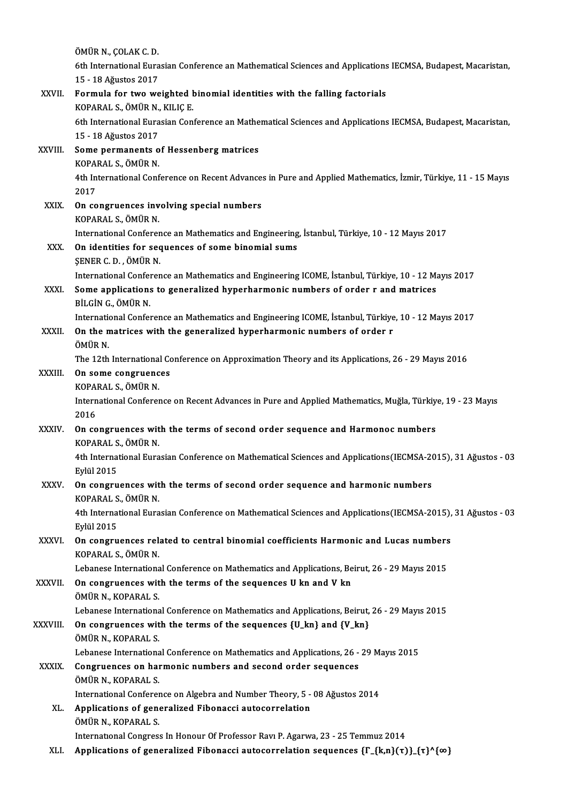ÖMÜRN.,ÇOLAKC.D. ÖMÜR N., ÇOLAK C. D.<br>6th International Eurasian Conference an Mathematical Sciences and Applications IECMSA, Budapest, Macaristan,<br>15 - 18 Ažustes 2017 ÖMÜR N., ÇOLAK C. D.<br>6th International Eura<br>15 - 18 Ağustos 2017<br>Eormula for two we 6th International Eurasian Conference an Mathematical Sciences and Applications<br>15 - 18 Ağustos 2017<br>XXVII. Formula for two weighted binomial identities with the falling factorials<br>XXVII. Formula for two weighted binomial 15 - 18 Ağustos 2017<br>Formula for two weighted l<br>KOPARAL S., ÖMÜR N., KILIÇ E.<br><sup>6th International Eurecian Con</sup> 6th International Eurasian Conference an Mathematical Sciences and Applications IECMSA, Budapest, Macaristan,<br>15 - 18 Ağustos 2017 KOPARAL S., ÖMÜR N., KILIÇ E. 6th International Eurasian Conference an Mathe<br>15 - 18 Ağustos 2017<br>XXVIII. Some permanents of Hessenberg matrices<br>KOBARAL S. ÖMÜR N 15 - 18 Ağustos 2017<br>Some permanents o<br>KOPARAL S., ÖMÜR N. Some permanents of Hessenberg matrices<br>KOPARAL S., ÖMÜR N.<br>4th International Conference on Recent Advances in Pure and Applied Mathematics, İzmir, Türkiye, 11 - 15 Mayıs KOPA<br>4th In<br>2017<br>**Op** 69 4th International Conference on Recent Advances<br>2017<br>XXIX. On congruences involving special numbers<br>2008 PAL S ÖMÜRN 2017<br>XXIX. On congruences involving special numbers<br>KOPARAL S., ÖMÜR N. On congruences involving special numbers<br>KOPARAL S., ÖMÜR N.<br>International Conference an Mathematics and Engineering, İstanbul, Türkiye, 10 - 12 Mayıs 2017<br>On identities for sequences of some binomial sums. KOPARAL S., ÖMÜR N.<br>International Conference an Mathematics and Engineering<br>XXX. On identities for sequences of some binomial sums<br>SENER G.D. ÖMÜR N International Conferer<br>**On identities for sec<br>SENER C. D. , ÖMÜR N.**<br>International Conferer On identities for sequences of some binomial sums<br>ŞENER C. D. , ÖMÜR N.<br>International Conference an Mathematics and Engineering ICOME, İstanbul, Türkiye, 10 - 12 Mayıs 2017<br>Some annligationa to generaliyed bunerhammenia nu \$ENER C. D. , ÖMÜR N.<br>International Conference an Mathematics and Engineering ICOME, İstanbul, Türkiye, 10 - 12 M;<br>XXXI. Some applications to generalized hyperharmonic numbers of order r and matrices<br>PUCN C. ÖMÜP N International Confer<br>Some applications<br>BİLGİN G., ÖMÜR N.<br>International Confer Some applications to generalized hyperharmonic numbers of order r and matrices<br>BİLGİN G., ÖMÜR N.<br>International Conference an Mathematics and Engineering ICOME, İstanbul, Türkiye, 10 - 12 Mayıs 2017<br>On the matrises with th BİLGİN G., ÖMÜR N.<br>International Conference an Mathematics and Engineering ICOME, İstanbul, Türkiye<br>XXXII. On the matrices with the generalized hyperharmonic numbers of order r<br>ÖMÜP N Internation<br>**On the n<br>ÖMÜR N.**<br>The 12th On the matrices with the generalized hyperharmonic numbers of order r<br>ÖMÜR N.<br>The 12th International Conference on Approximation Theory and its Applications, 26 - 29 Mayıs 2016<br>On some songruenses ÖMÜR N.<br>The 12th International Corre<br>XXXIII. On some congruences The 12th International<br>**On some congruenc<br>KOPARAL S., ÖMÜR N.**<br>International Conferen International Conference on Recent Advances in Pure and Applied Mathematics, Muğla, Türkiye, 19 - 23 Mayıs<br>2016 KOPARAL S., ÖMÜR N. International Conference on Recent Advances in Pure and Applied Mathematics, Muğla, Türkiy<br>2016<br>XXXIV. On congruences with the terms of second order sequence and Harmonoc numbers<br>XOPARALS ÖMÜR N 2016<br>**On congruences wit**<br>KOPARAL S., ÖMÜR N.<br>4th International Euro On congruences with the terms of second order sequence and Harmonoc numbers<br>KOPARAL S., ÖMÜR N.<br>4th International Eurasian Conference on Mathematical Sciences and Applications(IECMSA-2015), 31 Ağustos - 03<br>Evlil 2015 KOPARAL S<br>4th Interna<br>Eylül 2015<br>On sensuu 4th International Eurasian Conference on Mathematical Sciences and Applications (IECMSA-20<br>Eylül 2015<br>XXXV. On congruences with the terms of second order sequence and harmonic numbers<br>KOBARALS ÖMÜR N Eylül 2015<br>**On congruences wit**<br>KOPARAL S., ÖMÜR N.<br>4th International Euro 4th International Eurasian Conference on Mathematical Sciences and Applications(IECMSA-2015), 31 Ağustos - 03<br>Eylül 2015 KOPARAL S., ÖMÜR N. 4th International Eurasian Conference on Mathematical Sciences and Applications (IECMSA-2015),<br>Eylül 2015<br>XXXVI. On congruences related to central binomial coefficients Harmonic and Lucas numbers<br>XOBABALS ÖMÜR N Eylül 2015<br>**On congruences rel:**<br>KOPARAL S., ÖMÜR N.<br>Lebanese Internations On congruences related to central binomial coefficients Harmonic and Lucas numbers<br>KOPARAL S., ÖMÜR N.<br>Lebanese International Conference on Mathematics and Applications, Beirut, 26 - 29 Mayıs 2015 KOPARAL S., ÖMÜR N.<br>Lebanese International Conference on Mathematics and Applications, Be<br>XXXVII. On congruences with the terms of the sequences U kn and V kn<br>ÖMÜP N. KORARAL S. Lebanese Internationa<br>**On congruences wit**<br>ÖMÜR N., KOPARAL S.<br>Lebanese Internationa On congruences with the terms of the sequences U kn and V kn<br>ÖMÜR N., KOPARAL S.<br>Lebanese International Conference on Mathematics and Applications, Beirut, 26 - 29 Mayıs 2015 ÖMÜR N., KOPARAL S.<br>Lebanese International Conference on Mathematics and Applications, Beirut,<br>XXXVIII. On congruences with the terms of the sequences {U\_kn} and {V\_kn}<br>ÖMÜR N. KORARAL S Lebanese Internationa<br>**On congruences wit**<br>ÖMÜR N., KOPARAL S.<br>Lebanese Internationa On congruences with the terms of the sequences {U\_kn} and {V\_kn}<br>ÖMÜR N., KOPARAL S.<br>Lebanese International Conference on Mathematics and Applications, 26 - 29 Mayıs 2015<br>Congruences on barmonia numbers and sesend order se OMÜR N., KOPARAL S.<br>Lebanese International Conference on Mathematics and Applications, 26 -<br>XXXIX. Congruences on harmonic numbers and second order sequences<br>OMÜR N. KORARAL S. Lebanese Internationa<br>Congruences on hai<br>ÖMÜR N., KOPARAL S.<br>International Conferes Congruences on harmonic numbers and second order sequences<br>ÖMÜR N., KOPARAL S.<br>International Conference on Algebra and Number Theory, 5 - 08 Ağustos 2014<br>Annligationa of seneralized Eibenassi autocorrelation ÖMÜR N., KOPARAL S.<br>International Conference on Algebra and Number Theory, 5 -<br>XL. Applications of generalized Fibonacci autocorrelation<br>ÖMÜR N. KORARAL S. Applications of generalized Fibonacci autocorrelation<br>ÖMÜR N., KOPARAL S. International Congress In Honour Of Professor Ravi P. Agarwa, 23 - 25 Temmuz 2014 XLI. Applications of generalized Fibonacci autocorrelation sequences  $\{\Gamma_{n}(k,n\)}(\tau)\}$   $\{\tau\}^{\wedge}\{\infty\}$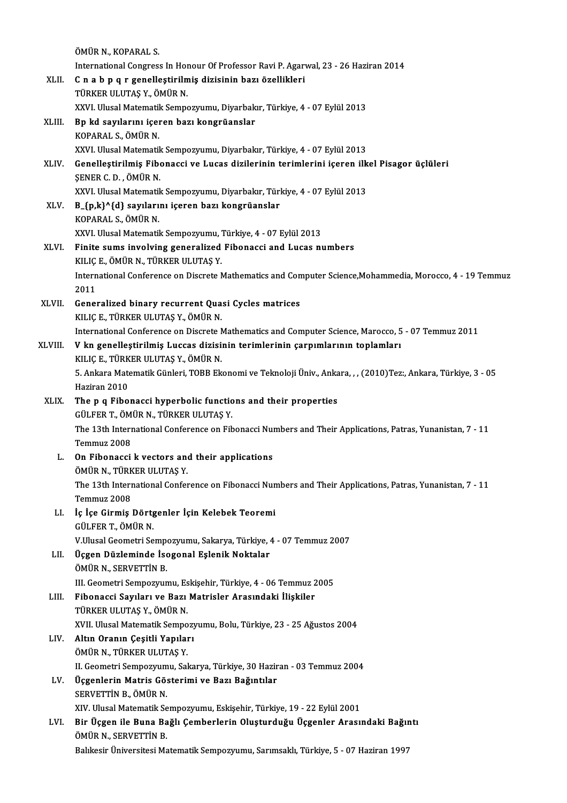|             | ÖMÜR N., KOPARAL S.                                                                                                                                                                |
|-------------|------------------------------------------------------------------------------------------------------------------------------------------------------------------------------------|
|             | International Congress In Honour Of Professor Ravi P. Agarwal, 23 - 26 Haziran 2014                                                                                                |
| XLII.       | C n a b p q r genelleștirilmiș dizisinin bazı özellikleri<br>TÜRKER ULUTAŞ Y., ÖMÜR N.                                                                                             |
|             | XXVI. Ulusal Matematik Sempozyumu, Diyarbakır, Türkiye, 4 - 07 Eylül 2013                                                                                                          |
| XLIII.      | Bp kd sayılarını içeren bazı kongrüanslar                                                                                                                                          |
|             | KOPARAL S., ÖMÜR N.                                                                                                                                                                |
|             | XXVI. Ulusal Matematik Sempozyumu, Diyarbakır, Türkiye, 4 - 07 Eylül 2013                                                                                                          |
| <b>XLIV</b> | Genelleştirilmiş Fibonacci ve Lucas dizilerinin terimlerini içeren ilkel Pisagor üçlüleri                                                                                          |
|             | ŞENER C.D., ÖMÜR N.                                                                                                                                                                |
|             | XXVI. Ulusal Matematik Sempozyumu, Diyarbakır, Türkiye, 4 - 07 Eylül 2013                                                                                                          |
| XLV.        | B_{p,k}^{d} sayılarını içeren bazı kongrüanslar<br>KOPARAL S., ÖMÜR N.                                                                                                             |
|             | XXVI. Ulusal Matematik Sempozyumu, Türkiye, 4 - 07 Eylül 2013                                                                                                                      |
| XLVI.       | Finite sums involving generalized Fibonacci and Lucas numbers                                                                                                                      |
|             | KILIÇ E., ÖMÜR N., TÜRKER ULUTAŞ Y.                                                                                                                                                |
|             | International Conference on Discrete Mathematics and Computer Science, Mohammedia, Morocco, 4 - 19 Temmuz                                                                          |
|             | 2011                                                                                                                                                                               |
| XLVII.      | Generalized binary recurrent Quasi Cycles matrices                                                                                                                                 |
|             | KILIÇ E., TÜRKER ULUTAŞ Y., ÖMÜR N.                                                                                                                                                |
| XLVIII.     | International Conference on Discrete Mathematics and Computer Science, Marocco, 5 - 07 Temmuz 2011<br>V kn genelleştirilmiş Luccas dizisinin terimlerinin çarpımlarının toplamları |
|             | KILIÇ E., TÜRKER ULUTAŞ Y., ÖMÜR N.                                                                                                                                                |
|             | 5. Ankara Matematik Günleri, TOBB Ekonomi ve Teknoloji Üniv., Ankara, , , (2010) Tez:, Ankara, Türkiye, 3 - 05                                                                     |
|             | Haziran 2010                                                                                                                                                                       |
| XLIX.       | The p q Fibonacci hyperbolic functions and their properties<br>GÜLFER T., ÖMÜR N., TÜRKER ULUTAŞ Y.                                                                                |
|             | The 13th International Conference on Fibonacci Numbers and Their Applications, Patras, Yunanistan, 7 - 11                                                                          |
|             | Temmuz 2008                                                                                                                                                                        |
| L.          | On Fibonacci k vectors and their applications                                                                                                                                      |
|             | ÖMÜR N., TÜRKER ULUTAŞ Y.                                                                                                                                                          |
|             | The 13th International Conference on Fibonacci Numbers and Their Applications, Patras, Yunanistan, 7 - 11<br>Temmuz 2008                                                           |
| LI.         | İç İçe Girmiş Dörtgenler İçin Kelebek Teoremi                                                                                                                                      |
|             | GÜLFER T., ÖMÜR N.                                                                                                                                                                 |
|             | V.Ulusal Geometri Sempozyumu, Sakarya, Türkiye, 4 - 07 Temmuz 2007                                                                                                                 |
| LII.        | Üçgen Düzleminde İsogonal Eşlenik Noktalar                                                                                                                                         |
|             | ÖMÜR N., SERVETTİN B.                                                                                                                                                              |
| LIII.       | III. Geometri Sempozyumu, Eskişehir, Türkiye, 4 - 06 Temmuz 2005<br>Fibonacci Sayıları ve Bazı Matrisler Arasındaki İlişkiler                                                      |
|             | TÜRKER ULUTAŞ Y., ÖMÜR N.                                                                                                                                                          |
|             | XVII. Ulusal Matematik Sempozyumu, Bolu, Türkiye, 23 - 25 Ağustos 2004                                                                                                             |
| LIV.        | Altın Oranın Çeşitli Yapıları                                                                                                                                                      |
|             | ÖMÜR N., TÜRKER ULUTAŞ Y.                                                                                                                                                          |
|             | II. Geometri Sempozyumu, Sakarya, Türkiye, 30 Haziran - 03 Temmuz 2004                                                                                                             |
| LV.         | Üçgenlerin Matris Gösterimi ve Bazı Bağıntılar                                                                                                                                     |
|             | SERVETTIN B., ÖMÜR N.<br>XIV. Ulusal Matematik Sempozyumu, Eskişehir, Türkiye, 19 - 22 Eylül 2001                                                                                  |
| LVI.        | Bir Üçgen ile Buna Bağlı Çemberlerin Oluşturduğu Üçgenler Arasındaki Bağıntı                                                                                                       |
|             | ÖMÜR N., SERVETTIN B.                                                                                                                                                              |
|             | Balıkesir Üniversitesi Matematik Sempozyumu, Sarımsaklı, Türkiye, 5 - 07 Haziran 1997                                                                                              |